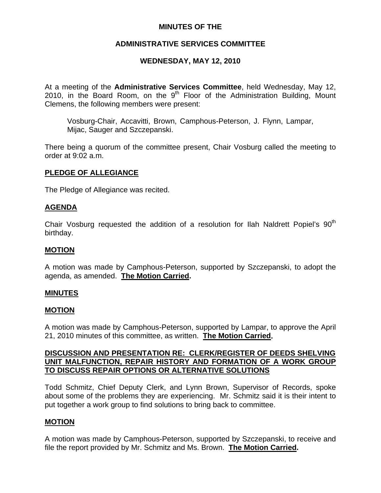## **MINUTES OF THE**

## **ADMINISTRATIVE SERVICES COMMITTEE**

## **WEDNESDAY, MAY 12, 2010**

At a meeting of the **Administrative Services Committee**, held Wednesday, May 12, 2010, in the Board Room, on the  $9<sup>th</sup>$  Floor of the Administration Building, Mount Clemens, the following members were present:

Vosburg-Chair, Accavitti, Brown, Camphous-Peterson, J. Flynn, Lampar, Mijac, Sauger and Szczepanski.

There being a quorum of the committee present, Chair Vosburg called the meeting to order at 9:02 a.m.

#### **PLEDGE OF ALLEGIANCE**

The Pledge of Allegiance was recited.

#### **AGENDA**

Chair Vosburg requested the addition of a resolution for Ilah Naldrett Popiel's 90<sup>th</sup> birthday.

#### **MOTION**

A motion was made by Camphous-Peterson, supported by Szczepanski, to adopt the agenda, as amended. **The Motion Carried.** 

#### **MINUTES**

#### **MOTION**

A motion was made by Camphous-Peterson, supported by Lampar, to approve the April 21, 2010 minutes of this committee, as written. **The Motion Carried.** 

#### **DISCUSSION AND PRESENTATION RE: CLERK/REGISTER OF DEEDS SHELVING UNIT MALFUNCTION, REPAIR HISTORY AND FORMATION OF A WORK GROUP TO DISCUSS REPAIR OPTIONS OR ALTERNATIVE SOLUTIONS**

Todd Schmitz, Chief Deputy Clerk, and Lynn Brown, Supervisor of Records, spoke about some of the problems they are experiencing. Mr. Schmitz said it is their intent to put together a work group to find solutions to bring back to committee.

#### **MOTION**

A motion was made by Camphous-Peterson, supported by Szczepanski, to receive and file the report provided by Mr. Schmitz and Ms. Brown. **The Motion Carried.**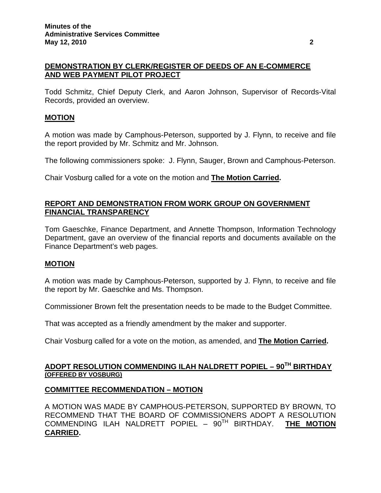## **DEMONSTRATION BY CLERK/REGISTER OF DEEDS OF AN E-COMMERCE AND WEB PAYMENT PILOT PROJECT**

Todd Schmitz, Chief Deputy Clerk, and Aaron Johnson, Supervisor of Records-Vital Records, provided an overview.

## **MOTION**

A motion was made by Camphous-Peterson, supported by J. Flynn, to receive and file the report provided by Mr. Schmitz and Mr. Johnson.

The following commissioners spoke: J. Flynn, Sauger, Brown and Camphous-Peterson.

Chair Vosburg called for a vote on the motion and **The Motion Carried.**

## **REPORT AND DEMONSTRATION FROM WORK GROUP ON GOVERNMENT FINANCIAL TRANSPARENCY**

Tom Gaeschke, Finance Department, and Annette Thompson, Information Technology Department, gave an overview of the financial reports and documents available on the Finance Department's web pages.

## **MOTION**

A motion was made by Camphous-Peterson, supported by J. Flynn, to receive and file the report by Mr. Gaeschke and Ms. Thompson.

Commissioner Brown felt the presentation needs to be made to the Budget Committee.

That was accepted as a friendly amendment by the maker and supporter.

Chair Vosburg called for a vote on the motion, as amended, and **The Motion Carried.**

## **ADOPT RESOLUTION COMMENDING ILAH NALDRETT POPIEL – 90TH BIRTHDAY (OFFERED BY VOSBURG)**

## **COMMITTEE RECOMMENDATION – MOTION**

A MOTION WAS MADE BY CAMPHOUS-PETERSON, SUPPORTED BY BROWN, TO RECOMMEND THAT THE BOARD OF COMMISSIONERS ADOPT A RESOLUTION COMMENDING ILAH NALDRETT POPIEL – 90TH BIRTHDAY. **THE MOTION CARRIED.**